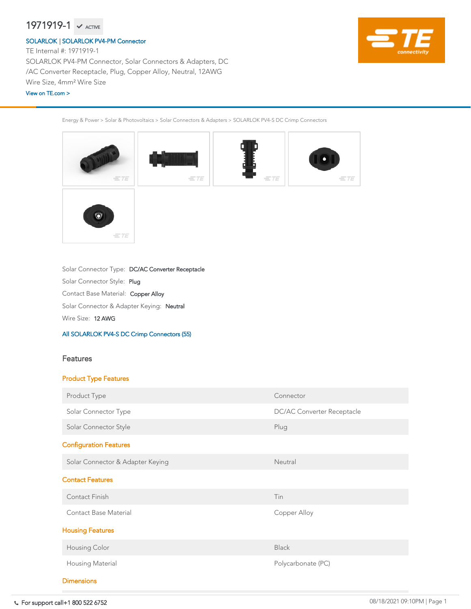Energy & Power > Solar & Photovoltaics > Solar Connectors & Adapters > SOLARLOK PV4-S DC Crimp Connectors



Wire Size: 12 AWG

Solar Connector & Adapter Keying: Neutral

Contact Base Material: Copper Alloy

Solar Connector Type: DC/AC Converter Receptacle

Solar Connector Style: Plug

#### [All SOLARLOK PV4-S DC Crimp Connectors \(55\)](https://www.te.com/usa-en/product-1971919-1.html)

## Features

| <b>Product Type Features</b> |  |
|------------------------------|--|
|------------------------------|--|

| Product Type                     | Connector                         |  |  |  |  |  |  |  |  |
|----------------------------------|-----------------------------------|--|--|--|--|--|--|--|--|
| Solar Connector Type             | <b>DC/AC Converter Receptacle</b> |  |  |  |  |  |  |  |  |
| Solar Connector Style            | Plug                              |  |  |  |  |  |  |  |  |
| <b>Configuration Features</b>    |                                   |  |  |  |  |  |  |  |  |
| Solar Connector & Adapter Keying | Neutral                           |  |  |  |  |  |  |  |  |
| <b>Contact Features</b>          |                                   |  |  |  |  |  |  |  |  |
| <b>Contact Finish</b>            | Tin                               |  |  |  |  |  |  |  |  |
| <b>Contact Base Material</b>     | Copper Alloy                      |  |  |  |  |  |  |  |  |
| <b>Housing Features</b>          |                                   |  |  |  |  |  |  |  |  |
| <b>Housing Color</b>             | <b>Black</b>                      |  |  |  |  |  |  |  |  |
| Housing Material                 | Polycarbonate (PC)                |  |  |  |  |  |  |  |  |
| <b>Dimensions</b>                |                                   |  |  |  |  |  |  |  |  |

TE Internal #: 1971919-1 SOLARLOK PV4-PM Connector, Solar Connectors & Adapters, DC /AC Converter Receptacle, Plug, Copper Alloy, Neutral, 12AWG Wire Size, 4mm² Wire Size

# $1971919-1 \times$  active

#### [SOLARLOK](https://www.te.com/usa-en/plp/ZnJr.html) | [SOLARLOK PV4-PM Connector](https://www.te.com/usa-en/plp/X26Kx.html)

#### [View on TE.com >](https://www.te.com/usa-en/product-1971919-1.html)

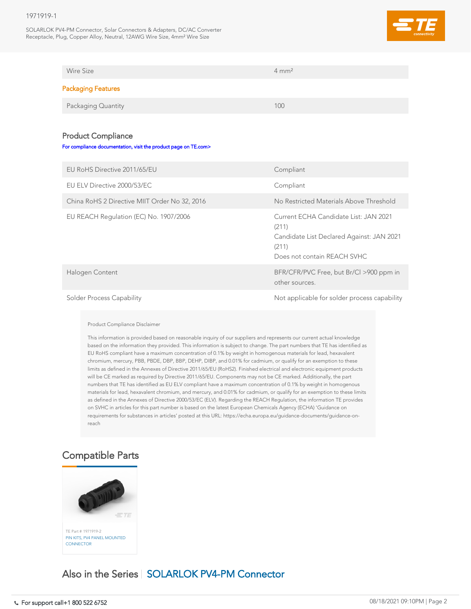### 1971919-1

SOLARLOK PV4-PM Connector, Solar Connectors & Adapters, DC/AC Converter Receptacle, Plug, Copper Alloy, Neutral, 12AWG Wire Size, 4mm² Wire Size



| <b>Wire Size</b>                                                                             | $4 \text{ mm}^2$                                                                                                                    |  |  |  |
|----------------------------------------------------------------------------------------------|-------------------------------------------------------------------------------------------------------------------------------------|--|--|--|
| <b>Packaging Features</b>                                                                    |                                                                                                                                     |  |  |  |
| Packaging Quantity                                                                           | 100                                                                                                                                 |  |  |  |
| <b>Product Compliance</b><br>For compliance documentation, visit the product page on TE.com> |                                                                                                                                     |  |  |  |
| EU RoHS Directive 2011/65/EU                                                                 | Compliant                                                                                                                           |  |  |  |
| EU ELV Directive 2000/53/EC                                                                  | Compliant                                                                                                                           |  |  |  |
| China RoHS 2 Directive MIIT Order No 32, 2016                                                | No Restricted Materials Above Threshold                                                                                             |  |  |  |
| EU REACH Regulation (EC) No. 1907/2006                                                       | Current ECHA Candidate List: JAN 2021<br>(211)<br>Candidate List Declared Against: JAN 2021<br>(211)<br>Does not contain REACH SVHC |  |  |  |
| Halogen Content                                                                              | BFR/CFR/PVC Free, but Br/Cl >900 ppm in<br>other sources.                                                                           |  |  |  |
| <b>Solder Process Capability</b>                                                             | Not applicable for solder process capability                                                                                        |  |  |  |
| Product Compliance Disclaimer                                                                |                                                                                                                                     |  |  |  |

This information is provided based on reasonable inquiry of our suppliers and represents our current actual knowledge based on the information they provided. This information is subject to change. The part numbers that TE has identified as EU RoHS compliant have a maximum concentration of 0.1% by weight in homogenous materials for lead, hexavalent chromium, mercury, PBB, PBDE, DBP, BBP, DEHP, DIBP, and 0.01% for cadmium, or qualify for an exemption to these limits as defined in the Annexes of Directive 2011/65/EU (RoHS2). Finished electrical and electronic equipment products will be CE marked as required by Directive 2011/65/EU. Components may not be CE marked. Additionally, the part numbers that TE has identified as EU ELV compliant have a maximum concentration of 0.1% by weight in homogenous materials for lead, hexavalent chromium, and mercury, and 0.01% for cadmium, or qualify for an exemption to these limits as defined in the Annexes of Directive 2000/53/EC (ELV). Regarding the REACH Regulation, the information TE provides on SVHC in articles for this part number is based on the latest European Chemicals Agency (ECHA) 'Guidance on requirements for substances in articles' posted at this URL: https://echa.europa.eu/guidance-documents/guidance-onreach



# Also in the Series | [SOLARLOK PV4-PM Connector](https://www.te.com/usa-en/plp/X26Kx.html)

# Compatible Parts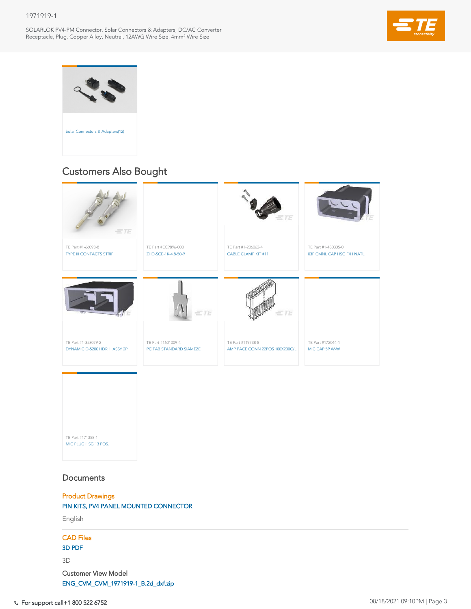### 1971919-1

SOLARLOK PV4-PM Connector, Solar Connectors & Adapters, DC/AC Converter Receptacle, Plug, Copper Alloy, Neutral, 12AWG Wire Size, 4mm² Wire Size



TE Part #171358-1 [MIC PLUG HSG 13 POS.](https://www.te.com/usa-en/product-171358-1.html)

### **Documents**



| DYNAMIC D-3200 HDR H ASSY ZP | PU TAB STANDARD SIAMEZE | AIVIP PACE CONN ZZPOS TUUXZUUC/L T | IVIIU UAF OF VV-VV |
|------------------------------|-------------------------|------------------------------------|--------------------|
|                              |                         |                                    |                    |
|                              |                         |                                    |                    |
|                              |                         |                                    |                    |
|                              |                         |                                    |                    |
|                              |                         |                                    |                    |
|                              |                         |                                    |                    |



# Customers Also Bought

Product Drawings [PIN KITS, PV4 PANEL MOUNTED CONNECTOR](https://www.te.com/commerce/DocumentDelivery/DDEController?Action=showdoc&DocId=Customer+Drawing%7F1971919%7FB%7Fpdf%7FEnglish%7FENG_CD_1971919_B.pdf%7F1971919-1)

English

CAD Files

### [3D PDF](https://www.te.com/commerce/DocumentDelivery/DDEController?Action=showdoc&DocId=Customer+View+Model%7FCVM_1971919-1%7FB%7Fpdf%7F3D%7F3D_CVM_CVM_1971919-1_B.pdf%7F1971919-1)

3D

Customer View Model

[ENG\\_CVM\\_CVM\\_1971919-1\\_B.2d\\_dxf.zip](https://www.te.com/commerce/DocumentDelivery/DDEController?Action=showdoc&DocId=Customer+View+Model%7FCVM_1971919-1%7FB%7F2d_dxf.zip%7FEnglish%7FENG_CVM_CVM_1971919-1_B.2d_dxf.zip%7F1971919-1)